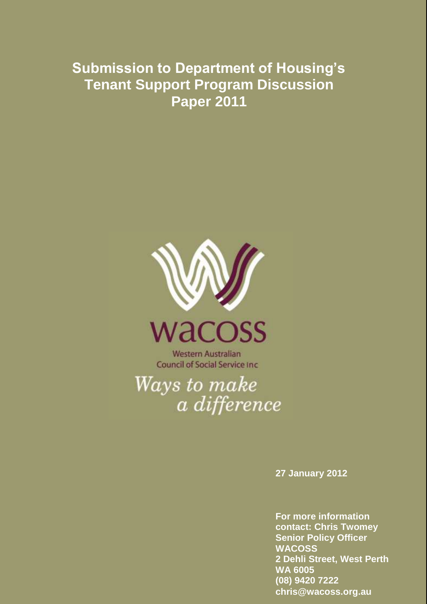# **Submission to Department of Housing's Tenant Support Program Discussion Paper 2011**



**Western Australian Council of Social Service Inc.** 

Ways to make a difference

**27 January 2012**

**For more information contact: Chris Twomey Senior Policy Officer WACOSS 2 Dehli Street, West Perth WA 6005 (08) 9420 7222 chris@wacoss.org.au**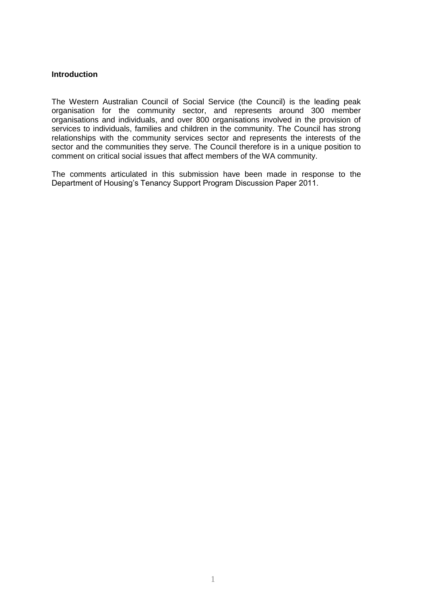# **Introduction**

The Western Australian Council of Social Service (the Council) is the leading peak organisation for the community sector, and represents around 300 member organisations and individuals, and over 800 organisations involved in the provision of services to individuals, families and children in the community. The Council has strong relationships with the community services sector and represents the interests of the sector and the communities they serve. The Council therefore is in a unique position to comment on critical social issues that affect members of the WA community.

The comments articulated in this submission have been made in response to the Department of Housing's Tenancy Support Program Discussion Paper 2011.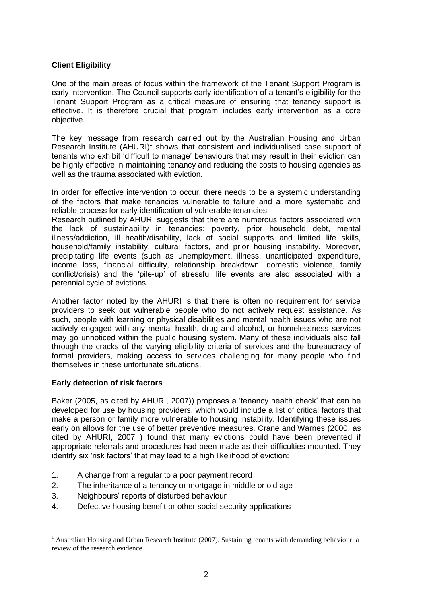# **Client Eligibility**

One of the main areas of focus within the framework of the Tenant Support Program is early intervention. The Council supports early identification of a tenant's eligibility for the Tenant Support Program as a critical measure of ensuring that tenancy support is effective. It is therefore crucial that program includes early intervention as a core objective.

The key message from research carried out by the Australian Housing and Urban Research Institute  $(AHURI)^1$  shows that consistent and individualised case support of tenants who exhibit 'difficult to manage' behaviours that may result in their eviction can be highly effective in maintaining tenancy and reducing the costs to housing agencies as well as the trauma associated with eviction.

In order for effective intervention to occur, there needs to be a systemic understanding of the factors that make tenancies vulnerable to failure and a more systematic and reliable process for early identification of vulnerable tenancies.

Research outlined by AHURI suggests that there are numerous factors associated with the lack of sustainability in tenancies: poverty, prior household debt, mental illness/addiction, ill health/disability, lack of social supports and limited life skills, household/family instability, cultural factors, and prior housing instability. Moreover, precipitating life events (such as unemployment, illness, unanticipated expenditure, income loss, financial difficulty, relationship breakdown, domestic violence, family conflict/crisis) and the 'pile-up' of stressful life events are also associated with a perennial cycle of evictions.

Another factor noted by the AHURI is that there is often no requirement for service providers to seek out vulnerable people who do not actively request assistance. As such, people with learning or physical disabilities and mental health issues who are not actively engaged with any mental health, drug and alcohol, or homelessness services may go unnoticed within the public housing system. Many of these individuals also fall through the cracks of the varying eligibility criteria of services and the bureaucracy of formal providers, making access to services challenging for many people who find themselves in these unfortunate situations.

# **Early detection of risk factors**

<u>.</u>

Baker (2005, as cited by AHURI, 2007)) proposes a 'tenancy health check' that can be developed for use by housing providers, which would include a list of critical factors that make a person or family more vulnerable to housing instability. Identifying these issues early on allows for the use of better preventive measures. Crane and Warnes (2000, as cited by AHURI, 2007 ) found that many evictions could have been prevented if appropriate referrals and procedures had been made as their difficulties mounted. They identify six 'risk factors' that may lead to a high likelihood of eviction:

- 1. A change from a regular to a poor payment record
- 2. The inheritance of a tenancy or mortgage in middle or old age
- 3. Neighbours' reports of disturbed behaviour
- 4. Defective housing benefit or other social security applications

<sup>&</sup>lt;sup>1</sup> Australian Housing and Urban Research Institute (2007). Sustaining tenants with demanding behaviour: a review of the research evidence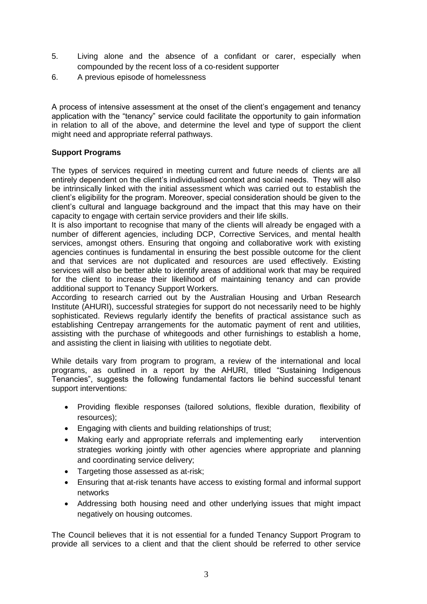- 5. Living alone and the absence of a confidant or carer, especially when compounded by the recent loss of a co-resident supporter
- 6. A previous episode of homelessness

A process of intensive assessment at the onset of the client's engagement and tenancy application with the "tenancy" service could facilitate the opportunity to gain information in relation to all of the above, and determine the level and type of support the client might need and appropriate referral pathways.

# **Support Programs**

The types of services required in meeting current and future needs of clients are all entirely dependent on the client's individualised context and social needs. They will also be intrinsically linked with the initial assessment which was carried out to establish the client's eligibility for the program. Moreover, special consideration should be given to the client's cultural and language background and the impact that this may have on their capacity to engage with certain service providers and their life skills.

It is also important to recognise that many of the clients will already be engaged with a number of different agencies, including DCP, Corrective Services, and mental health services, amongst others. Ensuring that ongoing and collaborative work with existing agencies continues is fundamental in ensuring the best possible outcome for the client and that services are not duplicated and resources are used effectively. Existing services will also be better able to identify areas of additional work that may be required for the client to increase their likelihood of maintaining tenancy and can provide additional support to Tenancy Support Workers.

According to research carried out by the Australian Housing and Urban Research Institute (AHURI), successful strategies for support do not necessarily need to be highly sophisticated. Reviews regularly identify the benefits of practical assistance such as establishing Centrepay arrangements for the automatic payment of rent and utilities, assisting with the purchase of whitegoods and other furnishings to establish a home, and assisting the client in liaising with utilities to negotiate debt.

While details vary from program to program, a review of the international and local programs, as outlined in a report by the AHURI, titled "Sustaining Indigenous Tenancies", suggests the following fundamental factors lie behind successful tenant support interventions:

- Providing flexible responses (tailored solutions, flexible duration, flexibility of resources);
- Engaging with clients and building relationships of trust;
- Making early and appropriate referrals and implementing early intervention strategies working jointly with other agencies where appropriate and planning and coordinating service delivery;
- Targeting those assessed as at-risk;
- Ensuring that at-risk tenants have access to existing formal and informal support networks
- Addressing both housing need and other underlying issues that might impact negatively on housing outcomes.

The Council believes that it is not essential for a funded Tenancy Support Program to provide all services to a client and that the client should be referred to other service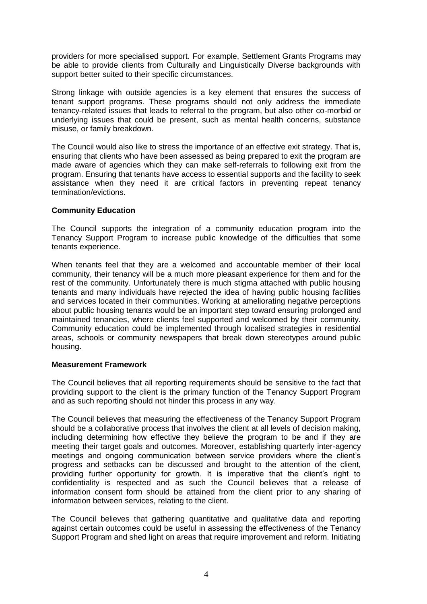providers for more specialised support. For example, Settlement Grants Programs may be able to provide clients from Culturally and Linguistically Diverse backgrounds with support better suited to their specific circumstances.

Strong linkage with outside agencies is a key element that ensures the success of tenant support programs. These programs should not only address the immediate tenancy-related issues that leads to referral to the program, but also other co-morbid or underlying issues that could be present, such as mental health concerns, substance misuse, or family breakdown.

The Council would also like to stress the importance of an effective exit strategy. That is, ensuring that clients who have been assessed as being prepared to exit the program are made aware of agencies which they can make self-referrals to following exit from the program. Ensuring that tenants have access to essential supports and the facility to seek assistance when they need it are critical factors in preventing repeat tenancy termination/evictions.

# **Community Education**

The Council supports the integration of a community education program into the Tenancy Support Program to increase public knowledge of the difficulties that some tenants experience.

When tenants feel that they are a welcomed and accountable member of their local community, their tenancy will be a much more pleasant experience for them and for the rest of the community. Unfortunately there is much stigma attached with public housing tenants and many individuals have rejected the idea of having public housing facilities and services located in their communities. Working at ameliorating negative perceptions about public housing tenants would be an important step toward ensuring prolonged and maintained tenancies, where clients feel supported and welcomed by their community. Community education could be implemented through localised strategies in residential areas, schools or community newspapers that break down stereotypes around public housing.

#### **Measurement Framework**

The Council believes that all reporting requirements should be sensitive to the fact that providing support to the client is the primary function of the Tenancy Support Program and as such reporting should not hinder this process in any way.

The Council believes that measuring the effectiveness of the Tenancy Support Program should be a collaborative process that involves the client at all levels of decision making, including determining how effective they believe the program to be and if they are meeting their target goals and outcomes. Moreover, establishing quarterly inter-agency meetings and ongoing communication between service providers where the client's progress and setbacks can be discussed and brought to the attention of the client, providing further opportunity for growth. It is imperative that the client's right to confidentiality is respected and as such the Council believes that a release of information consent form should be attained from the client prior to any sharing of information between services, relating to the client.

The Council believes that gathering quantitative and qualitative data and reporting against certain outcomes could be useful in assessing the effectiveness of the Tenancy Support Program and shed light on areas that require improvement and reform. Initiating